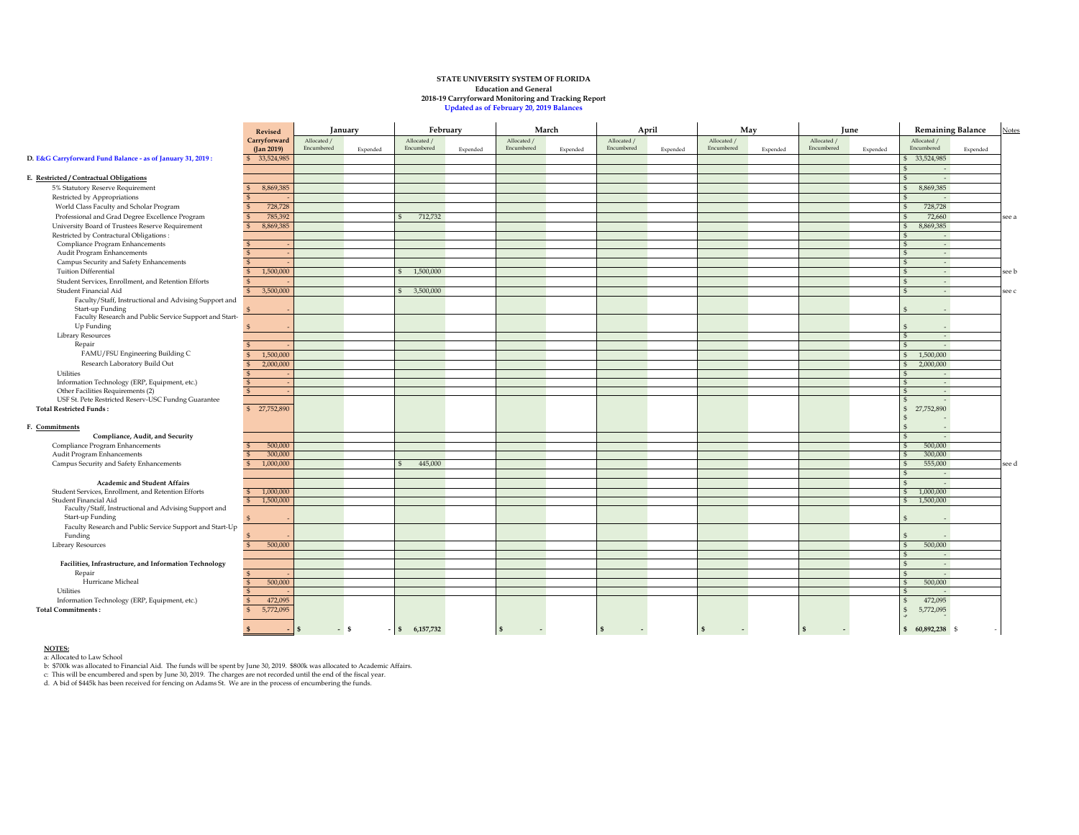## **STATE UNIVERSITY SYSTEM OF FLORIDA Education and General 2018-19 Carryforward Monitoring and Tracking Report Updated as of February 20, 2019 Balances**

|                                                                            | Revised                            | February<br>January       |          |                           | March    |                                          | April    |                           | May      |                           | June     |                           | <b>Remaining Balance</b> |                                    | <b>Notes</b> |       |
|----------------------------------------------------------------------------|------------------------------------|---------------------------|----------|---------------------------|----------|------------------------------------------|----------|---------------------------|----------|---------------------------|----------|---------------------------|--------------------------|------------------------------------|--------------|-------|
|                                                                            | Carryforward<br>$($ [an 2019 $)$ ] | Allocated /<br>Encumbered | Expended | Allocated /<br>Encumbered | Expended | Allocated /<br>Encumbered                | Expended | Allocated /<br>Encumbered | Expended | Allocated /<br>Encumbered | Expended | Allocated /<br>Encumbered | Expended                 | Allocated /<br>Encumbered          | Expended     |       |
| D. E&G Carryforward Fund Balance - as of January 31, 2019:                 | \$ 33,524,985                      |                           |          |                           |          |                                          |          |                           |          |                           |          |                           |                          | 33,524,985                         |              |       |
| E. Restricted / Contractual Obligations                                    |                                    |                           |          |                           |          |                                          |          |                           |          |                           |          |                           |                          | $\sim$<br>$\sim$                   |              |       |
| 5% Statutory Reserve Requirement                                           |                                    |                           |          |                           |          |                                          |          |                           |          |                           |          |                           |                          | 8,869,385<br>$\mathbb{S}$          |              |       |
|                                                                            | 8,869,385                          |                           |          |                           |          |                                          |          |                           |          |                           |          |                           |                          |                                    |              |       |
| Restricted by Appropriations                                               |                                    |                           |          |                           |          |                                          |          |                           |          |                           |          |                           |                          | $\sim$                             |              |       |
| World Class Faculty and Scholar Program                                    | 728,728                            |                           |          |                           |          |                                          |          |                           |          |                           |          |                           |                          | 728,728                            |              |       |
| Professional and Grad Degree Excellence Program                            | 785,392                            |                           |          | 712,732                   |          |                                          |          |                           |          |                           |          |                           |                          | 72,660                             |              | see a |
| University Board of Trustees Reserve Requirement                           | 8,869,385                          |                           |          |                           |          |                                          |          |                           |          |                           |          |                           |                          | 8,869,385<br>$\mathbb{S}$          |              |       |
| Restricted by Contractural Obligations :                                   |                                    |                           |          |                           |          |                                          |          |                           |          |                           |          |                           |                          | $\sim$<br>S<br>$\mathfrak{s}$      |              |       |
| Compliance Program Enhancements<br>Audit Program Enhancements              |                                    |                           |          |                           |          |                                          |          |                           |          |                           |          |                           |                          | $\sim$<br>$\mathfrak{s}$<br>$\sim$ |              |       |
|                                                                            |                                    |                           |          |                           |          |                                          |          |                           |          |                           |          |                           |                          | $\mathbf{s}$<br>$\sim$             |              |       |
| Campus Security and Safety Enhancements<br>Tuition Differential            | 1,500,000<br>$\mathbf{s}$          |                           |          | 1,500,000                 |          |                                          |          |                           |          |                           |          |                           |                          | $\mathfrak{s}$                     |              |       |
|                                                                            |                                    |                           |          |                           |          |                                          |          |                           |          |                           |          |                           |                          | $\sim$                             |              | see b |
| Student Services, Enrollment, and Retention Efforts                        |                                    |                           |          |                           |          |                                          |          |                           |          |                           |          |                           |                          | $\mathbb{S}$<br>$\sim$             |              |       |
| Student Financial Aid                                                      | 3,500,000                          |                           |          | 3,500,000<br>ŝ.           |          |                                          |          |                           |          |                           |          |                           |                          | $\mathfrak{s}$<br>$\sim$           |              | see c |
| Faculty/Staff, Instructional and Advising Support and                      |                                    |                           |          |                           |          |                                          |          |                           |          |                           |          |                           |                          |                                    |              |       |
| Start-up Funding<br>Faculty Research and Public Service Support and Start- |                                    |                           |          |                           |          |                                          |          |                           |          |                           |          |                           |                          |                                    |              |       |
| Up Funding                                                                 |                                    |                           |          |                           |          |                                          |          |                           |          |                           |          |                           |                          |                                    |              |       |
|                                                                            |                                    |                           |          |                           |          |                                          |          |                           |          |                           |          |                           |                          |                                    |              |       |
| Library Resources<br>Repair                                                |                                    |                           |          |                           |          |                                          |          |                           |          |                           |          |                           |                          | $\sim$<br>$\mathfrak{s}$<br>$\sim$ |              |       |
| FAMU/FSU Engineering Building C                                            | 1,500,000<br>$\mathfrak{s}$        |                           |          |                           |          |                                          |          |                           |          |                           |          |                           |                          | 1,500,000<br>$\mathbb{S}$          |              |       |
| Research Laboratory Build Out                                              | $\mathfrak{s}$                     |                           |          |                           |          |                                          |          |                           |          |                           |          |                           |                          | $\mathfrak{s}$                     |              |       |
|                                                                            | 2,000,000                          |                           |          |                           |          |                                          |          |                           |          |                           |          |                           |                          | 2,000,000                          |              |       |
| Utilities<br>Information Technology (ERP, Equipment, etc.)                 | $\mathfrak{s}$                     |                           |          |                           |          |                                          |          |                           |          |                           |          |                           |                          | $\sim$                             |              |       |
| Other Facilities Requirements (2)                                          | $\mathfrak{s}$                     |                           |          |                           |          |                                          |          |                           |          |                           |          |                           |                          | $\sim$<br>$\sim$                   |              |       |
| USF St. Pete Restricted Reserv-USC Fundng Guarantee                        |                                    |                           |          |                           |          |                                          |          |                           |          |                           |          |                           |                          | $\overline{\phantom{a}}$           |              |       |
| <b>Total Restricted Funds:</b>                                             | \$ 27,752,890                      |                           |          |                           |          |                                          |          |                           |          |                           |          |                           |                          | 27,752,890<br>$\mathbb{S}$         |              |       |
|                                                                            |                                    |                           |          |                           |          |                                          |          |                           |          |                           |          |                           |                          |                                    |              |       |
| F. Commitments                                                             |                                    |                           |          |                           |          |                                          |          |                           |          |                           |          |                           |                          |                                    |              |       |
| Compliance, Audit, and Security                                            |                                    |                           |          |                           |          |                                          |          |                           |          |                           |          |                           |                          | ÷                                  |              |       |
| Compliance Program Enhancements                                            | 500,000                            |                           |          |                           |          |                                          |          |                           |          |                           |          |                           |                          | 500,000<br>$\mathbf{S}$            |              |       |
| Audit Program Enhancements                                                 | 300,000                            |                           |          |                           |          |                                          |          |                           |          |                           |          |                           |                          | 300,000                            |              |       |
| Campus Security and Safety Enhancements                                    | 1,000,000                          |                           |          | 445,000                   |          |                                          |          |                           |          |                           |          |                           |                          | 555,000                            |              | see d |
|                                                                            |                                    |                           |          |                           |          |                                          |          |                           |          |                           |          |                           |                          | $\sim$                             |              |       |
| Academic and Student Affairs                                               |                                    |                           |          |                           |          |                                          |          |                           |          |                           |          |                           |                          | $\sim$                             |              |       |
| Student Services, Enrollment, and Retention Efforts                        | 1,000,000                          |                           |          |                           |          |                                          |          |                           |          |                           |          |                           |                          | 1,000,000                          |              |       |
| Student Financial Aid                                                      | 1,500,000<br>$\mathbf{s}$          |                           |          |                           |          |                                          |          |                           |          |                           |          |                           |                          | 1,500,000<br>s                     |              |       |
| Faculty/Staff, Instructional and Advising Support and                      |                                    |                           |          |                           |          |                                          |          |                           |          |                           |          |                           |                          |                                    |              |       |
| Start-up Funding                                                           |                                    |                           |          |                           |          |                                          |          |                           |          |                           |          |                           |                          | S                                  |              |       |
| Faculty Research and Public Service Support and Start-Up                   |                                    |                           |          |                           |          |                                          |          |                           |          |                           |          |                           |                          |                                    |              |       |
| Funding                                                                    |                                    |                           |          |                           |          |                                          |          |                           |          |                           |          |                           |                          |                                    |              |       |
| <b>Library Resources</b>                                                   | 500,000                            |                           |          |                           |          |                                          |          |                           |          |                           |          |                           |                          | 500,000<br>\$<br>$\sim$            |              |       |
| Facilities, Infrastructure, and Information Technology                     |                                    |                           |          |                           |          |                                          |          |                           |          |                           |          |                           |                          | $\sim$                             |              |       |
| Repair                                                                     |                                    |                           |          |                           |          |                                          |          |                           |          |                           |          |                           |                          | $\mathcal{L}_{\mathcal{A}}$        |              |       |
| Hurricane Micheal                                                          | 500,000                            |                           |          |                           |          |                                          |          |                           |          |                           |          |                           |                          | 500,000                            |              |       |
| Utilities                                                                  |                                    |                           |          |                           |          |                                          |          |                           |          |                           |          |                           |                          | $\sim$                             |              |       |
| Information Technology (ERP, Equipment, etc.)                              | 472,095                            |                           |          |                           |          |                                          |          |                           |          |                           |          |                           |                          | 472,095                            |              |       |
| <b>Total Commitments:</b>                                                  | 5,772,095                          |                           |          |                           |          |                                          |          |                           |          |                           |          |                           |                          | 5,772,095                          |              |       |
|                                                                            |                                    |                           |          |                           |          |                                          |          |                           |          |                           |          |                           |                          |                                    |              |       |
|                                                                            |                                    | $-$ \$<br>S.              |          | 6,157,732<br>$\mathbf{s}$ |          | $\mathbf{s}$<br>$\overline{\phantom{a}}$ |          | <b>S</b>                  |          | $\mathbf{s}$              |          | $\mathbf{s}$              |                          | 60,892,238 \$<br>S,                |              |       |

**NOTES:**<br>a: Allocated to Law School<br>b: \$700k was allocated to Financial Aid. The funds will be spent by June 30, 2019. \$800k was allocated to Academic Affairs.<br>c: This will be encumbered and spen by June 30, 2019. The char